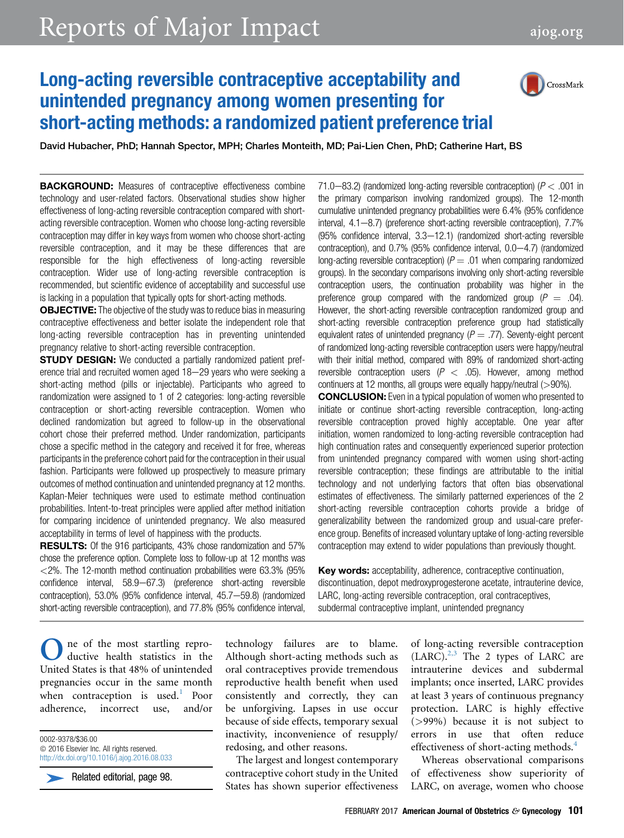# Reports of Major Impact [ajog.org](http://www.AJOG.org)

# Long-acting reversible contraceptive acceptability and unintended pregnancy among women presenting for short-acting methods: a randomized patient preference trial



David Hubacher, PhD; Hannah Spector, MPH; Charles Monteith, MD; Pai-Lien Chen, PhD; Catherine Hart, BS

**BACKGROUND:** Measures of contraceptive effectiveness combine technology and user-related factors. Observational studies show higher effectiveness of long-acting reversible contraception compared with shortacting reversible contraception. Women who choose long-acting reversible contraception may differ in key ways from women who choose short-acting reversible contraception, and it may be these differences that are responsible for the high effectiveness of long-acting reversible contraception. Wider use of long-acting reversible contraception is recommended, but scientific evidence of acceptability and successful use is lacking in a population that typically opts for short-acting methods.

**OBJECTIVE:** The objective of the study was to reduce bias in measuring contraceptive effectiveness and better isolate the independent role that long-acting reversible contraception has in preventing unintended pregnancy relative to short-acting reversible contraception.

**STUDY DESIGN:** We conducted a partially randomized patient preference trial and recruited women aged 18-29 years who were seeking a short-acting method (pills or injectable). Participants who agreed to randomization were assigned to 1 of 2 categories: long-acting reversible contraception or short-acting reversible contraception. Women who declined randomization but agreed to follow-up in the observational cohort chose their preferred method. Under randomization, participants chose a specific method in the category and received it for free, whereas participants in the preference cohort paid for the contraception in their usual fashion. Participants were followed up prospectively to measure primary outcomes of method continuation and unintended pregnancy at 12 months. Kaplan-Meier techniques were used to estimate method continuation probabilities. Intent-to-treat principles were applied after method initiation for comparing incidence of unintended pregnancy. We also measured acceptability in terms of level of happiness with the products.

RESULTS: Of the 916 participants, 43% chose randomization and 57% chose the preference option. Complete loss to follow-up at 12 months was  $<$  2%. The 12-month method continuation probabilities were 63.3% (95%) confidence interval, 58.9-67.3) (preference short-acting reversible contraception), 53.0% (95% confidence interval, 45.7-59.8) (randomized short-acting reversible contraception), and 77.8% (95% confidence interval, 71.0–83.2) (randomized long-acting reversible contraception) ( $P < .001$  in the primary comparison involving randomized groups). The 12-month cumulative unintended pregnancy probabilities were 6.4% (95% confidence interval,  $4.1-8.7$ ) (preference short-acting reversible contraception),  $7.7\%$  $(95%$  confidence interval,  $3.3-12.1)$  (randomized short-acting reversible contraception), and  $0.7\%$  (95% confidence interval,  $0.0-4.7$ ) (randomized long-acting reversible contraception) ( $P = .01$  when comparing randomized groups). In the secondary comparisons involving only short-acting reversible contraception users, the continuation probability was higher in the preference group compared with the randomized group ( $P = .04$ ). However, the short-acting reversible contraception randomized group and short-acting reversible contraception preference group had statistically equivalent rates of unintended pregnancy  $(P = .77)$ . Seventy-eight percent of randomized long-acting reversible contraception users were happy/neutral with their initial method, compared with 89% of randomized short-acting reversible contraception users  $(P < .05)$ . However, among method continuers at 12 months, all groups were equally happy/neutral  $(>90\%)$ .

CONCLUSION: Even in a typical population of women who presented to initiate or continue short-acting reversible contraception, long-acting reversible contraception proved highly acceptable. One year after initiation, women randomized to long-acting reversible contraception had high continuation rates and consequently experienced superior protection from unintended pregnancy compared with women using short-acting reversible contraception; these findings are attributable to the initial technology and not underlying factors that often bias observational estimates of effectiveness. The similarly patterned experiences of the 2 short-acting reversible contraception cohorts provide a bridge of generalizability between the randomized group and usual-care preference group. Benefits of increased voluntary uptake of long-acting reversible contraception may extend to wider populations than previously thought.

Key words: acceptability, adherence, contraceptive continuation, discontinuation, depot medroxyprogesterone acetate, intrauterine device, LARC, long-acting reversible contraception, oral contraceptives, subdermal contraceptive implant, unintended pregnancy

One of the most startling repro-<br>United States is that 48% of unintended<br>pregnancies occur in the same month ductive health statistics in the United States is that 48% of unintended when contraception is used.<sup>[1](#page-8-0)</sup> Poor adherence, incorrect use, and/or

0002-9378/\$36.00  $©$  2016 Elsevier Inc. All rights reserved. <http://dx.doi.org/10.1016/j.ajog.2016.08.033>

Related editorial, page 98.

technology failures are to blame. Although short-acting methods such as oral contraceptives provide tremendous reproductive health benefit when used consistently and correctly, they can be unforgiving. Lapses in use occur because of side effects, temporary sexual inactivity, inconvenience of resupply/ redosing, and other reasons.

The largest and longest contemporary contraceptive cohort study in the United States has shown superior effectiveness

of long-acting reversible contraception  $(LARC).^{2,3}$  $(LARC).^{2,3}$  $(LARC).^{2,3}$  The 2 types of LARC are intrauterine devices and subdermal implants; once inserted, LARC provides at least 3 years of continuous pregnancy protection. LARC is highly effective (>99%) because it is not subject to errors in use that often reduce effectiveness of short-acting methods.<sup>[4](#page-8-0)</sup>

Whereas observational comparisons of effectiveness show superiority of LARC, on average, women who choose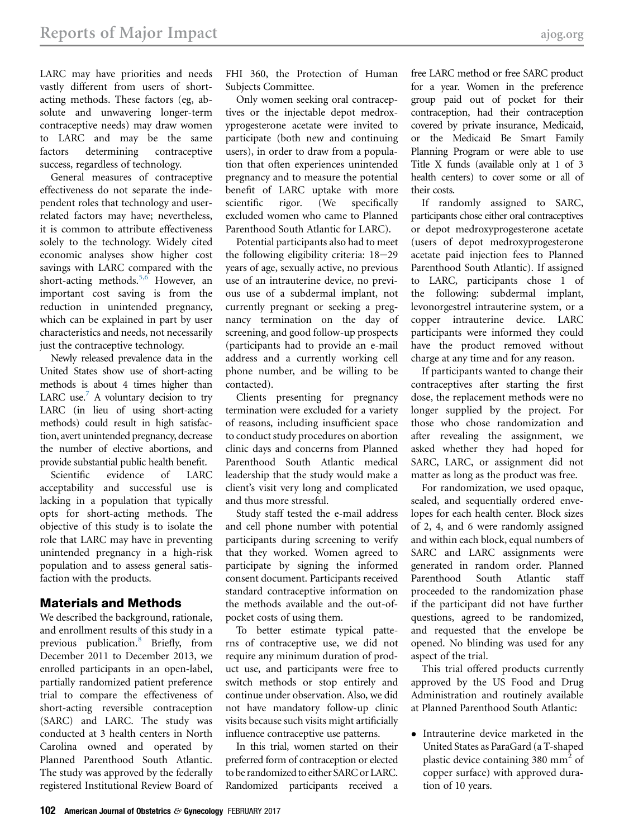LARC may have priorities and needs vastly different from users of shortacting methods. These factors (eg, absolute and unwavering longer-term contraceptive needs) may draw women to LARC and may be the same factors determining contraceptive success, regardless of technology.

General measures of contraceptive effectiveness do not separate the independent roles that technology and userrelated factors may have; nevertheless, it is common to attribute effectiveness solely to the technology. Widely cited economic analyses show higher cost savings with LARC compared with the short-acting methods.<sup>[5,6](#page-8-0)</sup> However, an important cost saving is from the reduction in unintended pregnancy, which can be explained in part by user characteristics and needs, not necessarily just the contraceptive technology.

Newly released prevalence data in the United States show use of short-acting methods is about 4 times higher than LARC use. $^7$  A voluntary decision to try LARC (in lieu of using short-acting methods) could result in high satisfaction, avert unintended pregnancy, decrease the number of elective abortions, and provide substantial public health benefit.

Scientific evidence of LARC acceptability and successful use is lacking in a population that typically opts for short-acting methods. The objective of this study is to isolate the role that LARC may have in preventing unintended pregnancy in a high-risk population and to assess general satisfaction with the products.

## Materials and Methods

We described the background, rationale, and enrollment results of this study in a previous publication.[8](#page-8-0) Briefly, from December 2011 to December 2013, we enrolled participants in an open-label, partially randomized patient preference trial to compare the effectiveness of short-acting reversible contraception (SARC) and LARC. The study was conducted at 3 health centers in North Carolina owned and operated by Planned Parenthood South Atlantic. The study was approved by the federally registered Institutional Review Board of FHI 360, the Protection of Human Subjects Committee.

Only women seeking oral contraceptives or the injectable depot medroxyprogesterone acetate were invited to participate (both new and continuing users), in order to draw from a population that often experiences unintended pregnancy and to measure the potential benefit of LARC uptake with more scientific rigor. (We specifically excluded women who came to Planned Parenthood South Atlantic for LARC).

Potential participants also had to meet the following eligibility criteria:  $18-29$ years of age, sexually active, no previous use of an intrauterine device, no previous use of a subdermal implant, not currently pregnant or seeking a pregnancy termination on the day of screening, and good follow-up prospects (participants had to provide an e-mail address and a currently working cell phone number, and be willing to be contacted).

Clients presenting for pregnancy termination were excluded for a variety of reasons, including insufficient space to conduct study procedures on abortion clinic days and concerns from Planned Parenthood South Atlantic medical leadership that the study would make a client's visit very long and complicated and thus more stressful.

Study staff tested the e-mail address and cell phone number with potential participants during screening to verify that they worked. Women agreed to participate by signing the informed consent document. Participants received standard contraceptive information on the methods available and the out-ofpocket costs of using them.

To better estimate typical patterns of contraceptive use, we did not require any minimum duration of product use, and participants were free to switch methods or stop entirely and continue under observation. Also, we did not have mandatory follow-up clinic visits because such visits might artificially influence contraceptive use patterns.

In this trial, women started on their preferred form of contraception or elected to be randomized to either SARC or LARC. Randomized participants received a

free LARC method or free SARC product for a year. Women in the preference group paid out of pocket for their contraception, had their contraception covered by private insurance, Medicaid, or the Medicaid Be Smart Family Planning Program or were able to use Title X funds (available only at 1 of 3 health centers) to cover some or all of their costs.

If randomly assigned to SARC, participants chose either oral contraceptives or depot medroxyprogesterone acetate (users of depot medroxyprogesterone acetate paid injection fees to Planned Parenthood South Atlantic). If assigned to LARC, participants chose 1 of the following: subdermal implant, levonorgestrel intrauterine system, or a copper intrauterine device. LARC participants were informed they could have the product removed without charge at any time and for any reason.

If participants wanted to change their contraceptives after starting the first dose, the replacement methods were no longer supplied by the project. For those who chose randomization and after revealing the assignment, we asked whether they had hoped for SARC, LARC, or assignment did not matter as long as the product was free.

For randomization, we used opaque, sealed, and sequentially ordered envelopes for each health center. Block sizes of 2, 4, and 6 were randomly assigned and within each block, equal numbers of SARC and LARC assignments were generated in random order. Planned Parenthood South Atlantic staff proceeded to the randomization phase if the participant did not have further questions, agreed to be randomized, and requested that the envelope be opened. No blinding was used for any aspect of the trial.

This trial offered products currently approved by the US Food and Drug Administration and routinely available at Planned Parenthood South Atlantic:

- Intrauterine device marketed in the United States as ParaGard (a T-shaped plastic device containing  $380 \text{ mm}^2$  of copper surface) with approved duration of 10 years.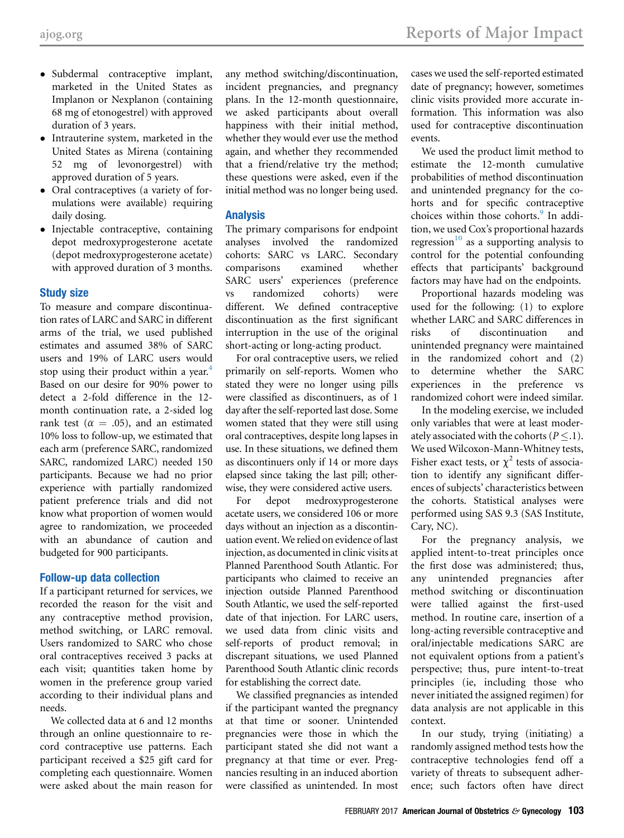- Subdermal contraceptive implant, marketed in the United States as Implanon or Nexplanon (containing 68 mg of etonogestrel) with approved duration of 3 years.
- Intrauterine system, marketed in the United States as Mirena (containing 52 mg of levonorgestrel) with approved duration of 5 years.
- Oral contraceptives (a variety of formulations were available) requiring daily dosing.
- Injectable contraceptive, containing depot medroxyprogesterone acetate (depot medroxyprogesterone acetate) with approved duration of 3 months.

#### Study size

To measure and compare discontinuation rates of LARC and SARC in different arms of the trial, we used published estimates and assumed 38% of SARC users and 19% of LARC users would stop using their product within a year.<sup>[4](#page-8-0)</sup> Based on our desire for 90% power to detect a 2-fold difference in the 12 month continuation rate, a 2-sided log rank test ( $\alpha = .05$ ), and an estimated 10% loss to follow-up, we estimated that each arm (preference SARC, randomized SARC, randomized LARC) needed 150 participants. Because we had no prior experience with partially randomized patient preference trials and did not know what proportion of women would agree to randomization, we proceeded with an abundance of caution and budgeted for 900 participants.

#### Follow-up data collection

If a participant returned for services, we recorded the reason for the visit and any contraceptive method provision, method switching, or LARC removal. Users randomized to SARC who chose oral contraceptives received 3 packs at each visit; quantities taken home by women in the preference group varied according to their individual plans and needs.

We collected data at 6 and 12 months through an online questionnaire to record contraceptive use patterns. Each participant received a \$25 gift card for completing each questionnaire. Women were asked about the main reason for

any method switching/discontinuation, incident pregnancies, and pregnancy plans. In the 12-month questionnaire, we asked participants about overall happiness with their initial method, whether they would ever use the method again, and whether they recommended that a friend/relative try the method; these questions were asked, even if the initial method was no longer being used.

#### Analysis

The primary comparisons for endpoint analyses involved the randomized cohorts: SARC vs LARC. Secondary comparisons examined whether SARC users' experiences (preference vs randomized cohorts) were different. We defined contraceptive discontinuation as the first significant interruption in the use of the original short-acting or long-acting product.

For oral contraceptive users, we relied primarily on self-reports. Women who stated they were no longer using pills were classified as discontinuers, as of 1 day after the self-reported last dose. Some women stated that they were still using oral contraceptives, despite long lapses in use. In these situations, we defined them as discontinuers only if 14 or more days elapsed since taking the last pill; otherwise, they were considered active users.

For depot medroxyprogesterone acetate users, we considered 106 or more days without an injection as a discontinuation event. We relied on evidence of last injection, as documented in clinic visits at Planned Parenthood South Atlantic. For participants who claimed to receive an injection outside Planned Parenthood South Atlantic, we used the self-reported date of that injection. For LARC users, we used data from clinic visits and self-reports of product removal; in discrepant situations, we used Planned Parenthood South Atlantic clinic records for establishing the correct date.

We classified pregnancies as intended if the participant wanted the pregnancy at that time or sooner. Unintended pregnancies were those in which the participant stated she did not want a pregnancy at that time or ever. Pregnancies resulting in an induced abortion were classified as unintended. In most cases we used the self-reported estimated date of pregnancy; however, sometimes clinic visits provided more accurate information. This information was also used for contraceptive discontinuation events.

We used the product limit method to estimate the 12-month cumulative probabilities of method discontinuation and unintended pregnancy for the cohorts and for specific contraceptive choices within those cohorts.<sup>[9](#page-8-0)</sup> In addition, we used Cox's proportional hazards regression<sup>[10](#page-8-0)</sup> as a supporting analysis to control for the potential confounding effects that participants' background factors may have had on the endpoints.

Proportional hazards modeling was used for the following: (1) to explore whether LARC and SARC differences in risks of discontinuation and unintended pregnancy were maintained in the randomized cohort and (2) to determine whether the SARC experiences in the preference vs randomized cohort were indeed similar.

In the modeling exercise, we included only variables that were at least moderately associated with the cohorts  $(P < 1)$ . We used Wilcoxon-Mann-Whitney tests, Fisher exact tests, or  $\chi^2$  tests of association to identify any significant differences of subjects' characteristics between the cohorts. Statistical analyses were performed using SAS 9.3 (SAS Institute, Cary, NC).

For the pregnancy analysis, we applied intent-to-treat principles once the first dose was administered; thus, any unintended pregnancies after method switching or discontinuation were tallied against the first-used method. In routine care, insertion of a long-acting reversible contraceptive and oral/injectable medications SARC are not equivalent options from a patient's perspective; thus, pure intent-to-treat principles (ie, including those who never initiated the assigned regimen) for data analysis are not applicable in this context.

In our study, trying (initiating) a randomly assigned method tests how the contraceptive technologies fend off a variety of threats to subsequent adherence; such factors often have direct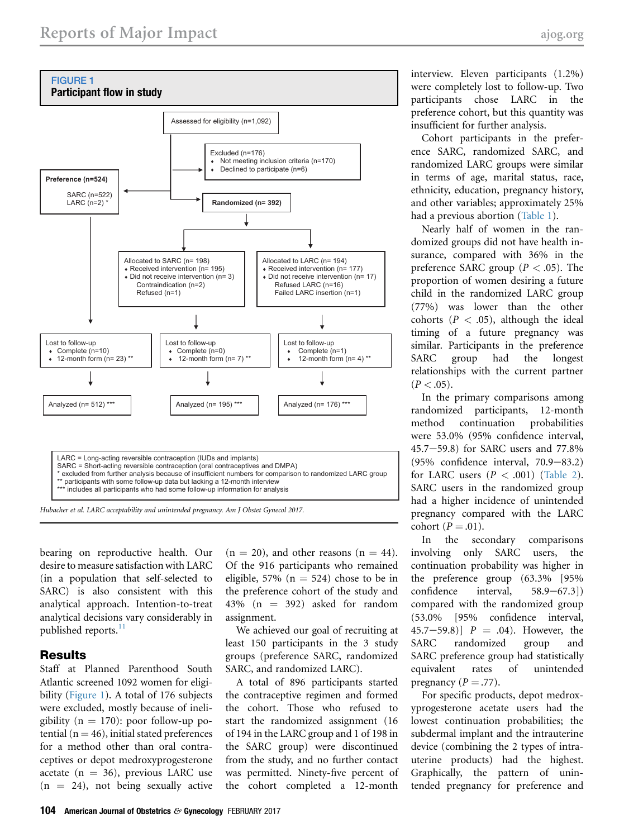

Hubacher et al. LARC acceptability and unintended pregnancy. Am J Obstet Gynecol 2017.

bearing on reproductive health. Our desire to measure satisfaction with LARC (in a population that self-selected to SARC) is also consistent with this analytical approach. Intention-to-treat analytical decisions vary considerably in published reports. $^{11}$  $^{11}$  $^{11}$ 

## **Results**

Staff at Planned Parenthood South Atlantic screened 1092 women for eligibility (Figure 1). A total of 176 subjects were excluded, mostly because of ineligibility ( $n = 170$ ): poor follow-up potential ( $n = 46$ ), initial stated preferences for a method other than oral contraceptives or depot medroxyprogesterone acetate ( $n = 36$ ), previous LARC use  $(n = 24)$ , not being sexually active  $(n = 20)$ , and other reasons  $(n = 44)$ . Of the 916 participants who remained eligible, 57% ( $n = 524$ ) chose to be in the preference cohort of the study and 43% ( $n = 392$ ) asked for random assignment.

We achieved our goal of recruiting at least 150 participants in the 3 study groups (preference SARC, randomized SARC, and randomized LARC).

A total of 896 participants started the contraceptive regimen and formed the cohort. Those who refused to start the randomized assignment (16 of 194 in the LARC group and 1 of 198 in the SARC group) were discontinued from the study, and no further contact was permitted. Ninety-five percent of the cohort completed a 12-month interview. Eleven participants (1.2%) were completely lost to follow-up. Two participants chose LARC in the preference cohort, but this quantity was insufficient for further analysis.

Cohort participants in the preference SARC, randomized SARC, and randomized LARC groups were similar in terms of age, marital status, race, ethnicity, education, pregnancy history, and other variables; approximately 25% had a previous abortion [\(Table 1](#page-4-0)).

Nearly half of women in the randomized groups did not have health insurance, compared with 36% in the preference SARC group ( $P < .05$ ). The proportion of women desiring a future child in the randomized LARC group (77%) was lower than the other cohorts ( $P < .05$ ), although the ideal timing of a future pregnancy was similar. Participants in the preference SARC group had the longest relationships with the current partner  $(P < .05)$ .

In the primary comparisons among randomized participants, 12-month method continuation probabilities were 53.0% (95% confidence interval, 45.7-59.8) for SARC users and 77.8%  $(95\% \text{ confidence interval}, 70.9-83.2)$ for LARC users  $(P < .001)$  [\(Table 2\)](#page-6-0). SARC users in the randomized group had a higher incidence of unintended pregnancy compared with the LARC cohort ( $P = .01$ ).<br>In the second

the secondary comparisons involving only SARC users, the continuation probability was higher in the preference group (63.3% [95% confidence interval,  $58.9-67.3$ ] compared with the randomized group (53.0% [95% confidence interval, 45.7-59.8)]  $P = .04$ . However, the SARC randomized group and randomized SARC preference group had statistically equivalent rates of unintended pregnancy ( $P = .77$ ).

For specific products, depot medroxyprogesterone acetate users had the lowest continuation probabilities; the subdermal implant and the intrauterine device (combining the 2 types of intrauterine products) had the highest. Graphically, the pattern of unintended pregnancy for preference and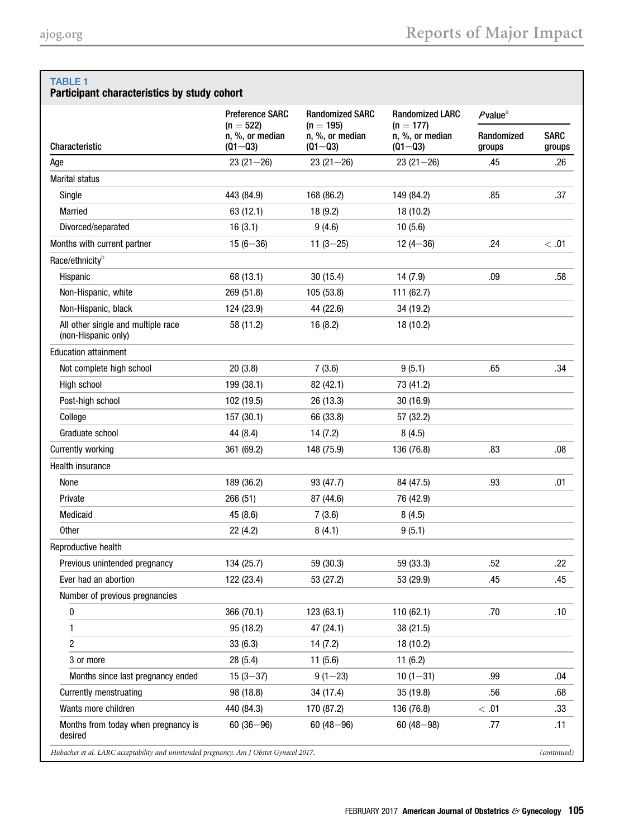#### <span id="page-4-0"></span>TABLE 1 Participant characteristics by study cohort

| Characteristic<br>Age<br><b>Marital status</b><br>Single<br>Married<br>Divorced/separated<br>Months with current partner<br>Race/ethnicity <sup>b</sup><br>Hispanic<br>Non-Hispanic, white | $(n = 522)$<br>n, %, or median<br>$(Q1 - Q3)$<br>$23(21 - 26)$<br>443 (84.9)<br>63 (12.1)<br>16(3.1)<br>$15(6 - 36)$<br>68 (13.1) | $(n = 195)$<br>n, %, or median<br>$(Q1 - Q3)$<br>$23(21 - 26)$<br>168 (86.2)<br>18(9.2)<br>9(4.6)<br>$11(3-25)$ | $(n = 177)$<br>n, %, or median<br>$(Q1 - Q3)$<br>$23(21 - 26)$<br>149 (84.2)<br>18 (10.2)<br>10(5.6)<br>$12(4-36)$ | Randomized<br>groups<br>.45<br>.85 | <b>SARC</b><br>groups<br>.26<br>.37 |
|--------------------------------------------------------------------------------------------------------------------------------------------------------------------------------------------|-----------------------------------------------------------------------------------------------------------------------------------|-----------------------------------------------------------------------------------------------------------------|--------------------------------------------------------------------------------------------------------------------|------------------------------------|-------------------------------------|
|                                                                                                                                                                                            |                                                                                                                                   |                                                                                                                 |                                                                                                                    |                                    |                                     |
|                                                                                                                                                                                            |                                                                                                                                   |                                                                                                                 |                                                                                                                    |                                    |                                     |
|                                                                                                                                                                                            |                                                                                                                                   |                                                                                                                 |                                                                                                                    |                                    |                                     |
|                                                                                                                                                                                            |                                                                                                                                   |                                                                                                                 |                                                                                                                    |                                    |                                     |
|                                                                                                                                                                                            |                                                                                                                                   |                                                                                                                 |                                                                                                                    |                                    |                                     |
|                                                                                                                                                                                            |                                                                                                                                   |                                                                                                                 |                                                                                                                    |                                    |                                     |
|                                                                                                                                                                                            |                                                                                                                                   |                                                                                                                 |                                                                                                                    | .24                                | < 0.01                              |
|                                                                                                                                                                                            |                                                                                                                                   |                                                                                                                 |                                                                                                                    |                                    |                                     |
|                                                                                                                                                                                            |                                                                                                                                   | 30 (15.4)                                                                                                       | 14(7.9)                                                                                                            | .09                                | .58                                 |
|                                                                                                                                                                                            | 269 (51.8)                                                                                                                        | 111 (62.7)<br>105 (53.8)                                                                                        |                                                                                                                    |                                    |                                     |
| Non-Hispanic, black                                                                                                                                                                        | 124 (23.9)                                                                                                                        | 44 (22.6)                                                                                                       | 34 (19.2)                                                                                                          |                                    |                                     |
| All other single and multiple race<br>(non-Hispanic only)                                                                                                                                  | 58 (11.2)                                                                                                                         | 16(8.2)                                                                                                         | 18 (10.2)                                                                                                          |                                    |                                     |
| <b>Education attainment</b>                                                                                                                                                                |                                                                                                                                   |                                                                                                                 |                                                                                                                    |                                    |                                     |
| Not complete high school                                                                                                                                                                   | 20(3.8)                                                                                                                           | 7(3.6)                                                                                                          | 9(5.1)                                                                                                             | .65                                | .34                                 |
| High school                                                                                                                                                                                | 199 (38.1)                                                                                                                        | 82 (42.1)                                                                                                       | 73 (41.2)                                                                                                          |                                    |                                     |
| Post-high school                                                                                                                                                                           | 102 (19.5)                                                                                                                        | 26 (13.3)                                                                                                       | 30 (16.9)                                                                                                          |                                    |                                     |
| College                                                                                                                                                                                    | 157 (30.1)                                                                                                                        | 66 (33.8)                                                                                                       | 57 (32.2)                                                                                                          |                                    |                                     |
| Graduate school                                                                                                                                                                            | 44 (8.4)                                                                                                                          | 14 (7.2)                                                                                                        | 8(4.5)                                                                                                             |                                    |                                     |
| Currently working                                                                                                                                                                          | 361 (69.2)                                                                                                                        | 148 (75.9)                                                                                                      | 136 (76.8)                                                                                                         | .83                                | .08                                 |
| Health insurance                                                                                                                                                                           |                                                                                                                                   |                                                                                                                 |                                                                                                                    |                                    |                                     |
| None                                                                                                                                                                                       | 189 (36.2)                                                                                                                        | 93 (47.7)                                                                                                       | 84 (47.5)                                                                                                          | .93                                | .01                                 |
| Private                                                                                                                                                                                    | 266 (51)                                                                                                                          | 87 (44.6)                                                                                                       | 76 (42.9)                                                                                                          |                                    |                                     |
| Medicaid                                                                                                                                                                                   | 45 (8.6)                                                                                                                          | 7(3.6)                                                                                                          | 8(4.5)                                                                                                             |                                    |                                     |
| <b>Other</b>                                                                                                                                                                               | 22(4.2)                                                                                                                           | 8(4.1)                                                                                                          | 9(5.1)                                                                                                             |                                    |                                     |
| Reproductive health                                                                                                                                                                        |                                                                                                                                   |                                                                                                                 |                                                                                                                    |                                    |                                     |
| Previous unintended pregnancy                                                                                                                                                              | 134 (25.7)                                                                                                                        | 59 (30.3)                                                                                                       | 59 (33.3)                                                                                                          | .52                                | .22                                 |
| Ever had an abortion                                                                                                                                                                       | 122 (23.4)                                                                                                                        | 53 (27.2)                                                                                                       | 53 (29.9)                                                                                                          | .45                                | .45                                 |
| Number of previous pregnancies                                                                                                                                                             |                                                                                                                                   |                                                                                                                 |                                                                                                                    |                                    |                                     |
| 0                                                                                                                                                                                          | 366 (70.1)                                                                                                                        | 123 (63.1)                                                                                                      | 110 (62.1)                                                                                                         | .70                                | .10                                 |
| 1                                                                                                                                                                                          | 95 (18.2)                                                                                                                         | 47 (24.1)                                                                                                       | 38 (21.5)                                                                                                          |                                    |                                     |
| 2                                                                                                                                                                                          | 33(6.3)                                                                                                                           | 14(7.2)                                                                                                         | 18 (10.2)                                                                                                          |                                    |                                     |
| 3 or more                                                                                                                                                                                  | 28(5.4)                                                                                                                           | 11(5.6)                                                                                                         | 11(6.2)                                                                                                            |                                    |                                     |
| Months since last pregnancy ended                                                                                                                                                          | $15(3 - 37)$                                                                                                                      | $9(1-23)$                                                                                                       | $10(1-31)$                                                                                                         | .99                                | .04                                 |
| Currently menstruating                                                                                                                                                                     | 98 (18.8)                                                                                                                         | 34 (17.4)                                                                                                       | 35 (19.8)                                                                                                          | .56                                | .68                                 |
| Wants more children                                                                                                                                                                        | 440 (84.3)                                                                                                                        | 170 (87.2)                                                                                                      | 136 (76.8)                                                                                                         | < 0.01                             | .33                                 |
| Months from today when pregnancy is<br>desired                                                                                                                                             | $60(36 - 96)$                                                                                                                     | $60(48 - 96)$                                                                                                   | $60(48 - 98)$                                                                                                      | .77                                | .11                                 |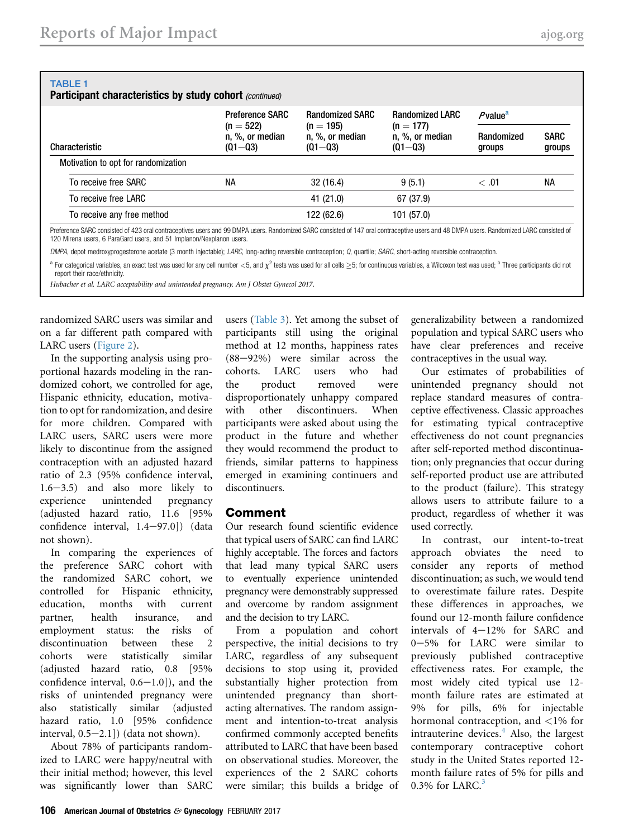#### <span id="page-5-0"></span>TABLE 1

# Participant characteristics by study cohort (continued)

|                                     | <b>Preference SARC</b>                        | <b>Randomized SARC</b>                        | <b>Randomized LARC</b>                        | $P$ value $^{\rm a}$ |                       |  |
|-------------------------------------|-----------------------------------------------|-----------------------------------------------|-----------------------------------------------|----------------------|-----------------------|--|
| Characteristic                      | $(n = 522)$<br>n, %, or median<br>$(Q1 - Q3)$ | $(n = 195)$<br>n, %, or median<br>$(Q1 - Q3)$ | $(n = 177)$<br>n, %, or median<br>$(Q1 - Q3)$ | Randomized<br>groups | <b>SARC</b><br>groups |  |
| Motivation to opt for randomization |                                               |                                               |                                               |                      |                       |  |
| To receive free SARC                | NА                                            | 32 (16.4)                                     | 9(5.1)                                        | < 0.01               | <b>NA</b>             |  |
| To receive free LARC                |                                               | 41 (21.0)                                     | 67 (37.9)                                     |                      |                       |  |
| To receive any free method          |                                               | 122 (62.6)                                    | 101 (57.0)                                    |                      |                       |  |

Preference SARC consisted of 423 oral contraceptives users and 99 DMPA users. Randomized SARC consisted of 147 oral contraceptive users and 48 DMPA users. Randomized LARC consisted of 120 Mirena users, 6 ParaGard users, and 51 Implanon/Nexplanon users.

DMPA, depot medroxyprogesterone acetate (3 month injectable); LARC, long-acting reversible contraception; Q, quartile; SARC, short-acting reversible contraception.

<sup>a</sup> For categorical variables, an exact test was used for any cell number <5, and  $\chi^2$  tests was used for all cells  $\geq$ 5; for continuous variables, a Wilcoxon test was used; <sup>b</sup> Three participants did not report their race/ethnicity.

Hubacher et al. LARC acceptability and unintended pregnancy. Am J Obstet Gynecol 2017.

randomized SARC users was similar and on a far different path compared with LARC users ([Figure 2\)](#page-7-0).

In the supporting analysis using proportional hazards modeling in the randomized cohort, we controlled for age, Hispanic ethnicity, education, motivation to opt for randomization, and desire for more children. Compared with LARC users, SARC users were more likely to discontinue from the assigned contraception with an adjusted hazard ratio of 2.3 (95% confidence interval,  $1.6-3.5$ ) and also more likely to experience unintended pregnancy (adjusted hazard ratio, 11.6 [95% confidence interval, 1.4-97.0]) (data not shown).

In comparing the experiences of the preference SARC cohort with the randomized SARC cohort, we controlled for Hispanic ethnicity, education, months with current partner, health insurance, and employment status: the risks of discontinuation between these 2 cohorts were statistically similar (adjusted hazard ratio, 0.8 [95% confidence interval,  $0.6-1.0$ ]), and the risks of unintended pregnancy were also statistically similar (adjusted hazard ratio, 1.0 [95% confidence interval,  $0.5-2.1$ ]) (data not shown).

About 78% of participants randomized to LARC were happy/neutral with their initial method; however, this level was significantly lower than SARC users ([Table 3\)](#page-7-0). Yet among the subset of participants still using the original method at 12 months, happiness rates  $(88-92%)$  were similar across the cohorts. LARC users who had the product removed were disproportionately unhappy compared with other discontinuers. When participants were asked about using the product in the future and whether they would recommend the product to friends, similar patterns to happiness emerged in examining continuers and discontinuers.

## Comment

Our research found scientific evidence that typical users of SARC can find LARC highly acceptable. The forces and factors that lead many typical SARC users to eventually experience unintended pregnancy were demonstrably suppressed and overcome by random assignment and the decision to try LARC.

From a population and cohort perspective, the initial decisions to try LARC, regardless of any subsequent decisions to stop using it, provided substantially higher protection from unintended pregnancy than shortacting alternatives. The random assignment and intention-to-treat analysis confirmed commonly accepted benefits attributed to LARC that have been based on observational studies. Moreover, the experiences of the 2 SARC cohorts were similar; this builds a bridge of

generalizability between a randomized population and typical SARC users who have clear preferences and receive contraceptives in the usual way.

Our estimates of probabilities of unintended pregnancy should not replace standard measures of contraceptive effectiveness. Classic approaches for estimating typical contraceptive effectiveness do not count pregnancies after self-reported method discontinuation; only pregnancies that occur during self-reported product use are attributed to the product (failure). This strategy allows users to attribute failure to a product, regardless of whether it was used correctly.

In contrast, our intent-to-treat approach obviates the need to consider any reports of method discontinuation; as such, we would tend to overestimate failure rates. Despite these differences in approaches, we found our 12-month failure confidence intervals of  $4-12%$  for SARC and 0-5% for LARC were similar to previously published contraceptive effectiveness rates. For example, the most widely cited typical use 12 month failure rates are estimated at 9% for pills, 6% for injectable hormonal contraception, and <1% for intrauterine devices. $4$  Also, the largest contemporary contraceptive cohort study in the United States reported 12 month failure rates of 5% for pills and  $0.3\%$  $0.3\%$  $0.3\%$  for LARC.<sup>3</sup>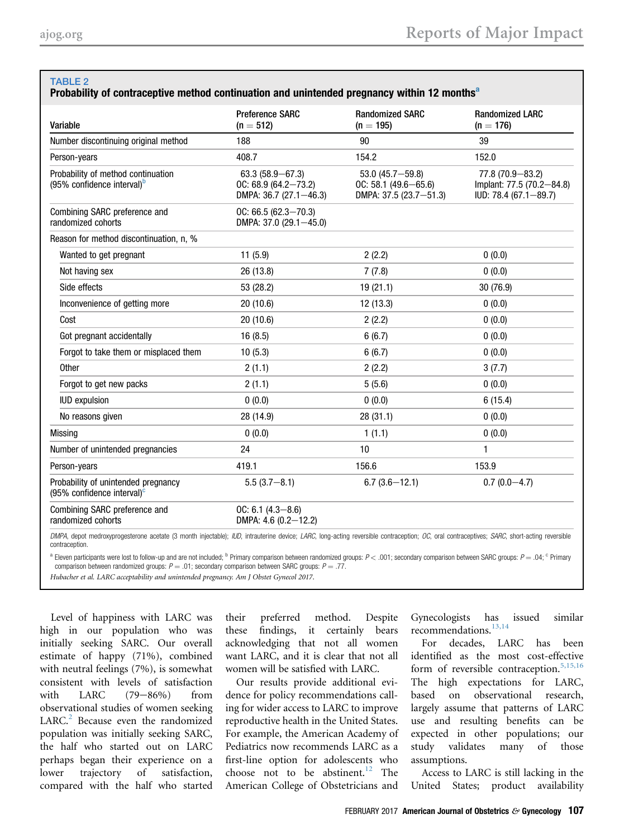# <span id="page-6-0"></span>TABLE 2

#### Probability of contraceptive method continuation and unintended pregnancy within 12 months<sup>a</sup>

| Variable                                                                     | Preference SARC<br>$(n = 512)$                                                                                                                        | <b>Randomized SARC</b><br>$(n = 195)$ | <b>Randomized LARC</b><br>$(n = 176)$                                  |
|------------------------------------------------------------------------------|-------------------------------------------------------------------------------------------------------------------------------------------------------|---------------------------------------|------------------------------------------------------------------------|
| Number discontinuing original method                                         | 188                                                                                                                                                   | 90                                    | 39                                                                     |
| Person-years                                                                 | 408.7                                                                                                                                                 | 154.2                                 | 152.0                                                                  |
| Probability of method continuation<br>(95% confidence interval) <sup>b</sup> | $63.3(58.9 - 67.3)$<br>$53.0(45.7 - 59.8)$<br>OC: $68.9(64.2 - 73.2)$<br>$0C: 58.1 (49.6 - 65.6)$<br>DMPA: 36.7 (27.1-46.3)<br>DMPA: 37.5 (23.7-51.3) |                                       | 77.8 (70.9-83.2)<br>Implant: 77.5 (70.2-84.8)<br>IUD: 78.4 (67.1-89.7) |
| Combining SARC preference and<br>randomized cohorts                          | OC: $66.5(62.3-70.3)$<br>DMPA: 37.0 (29.1-45.0)                                                                                                       |                                       |                                                                        |
| Reason for method discontinuation, n. %                                      |                                                                                                                                                       |                                       |                                                                        |
| Wanted to get pregnant                                                       | 11(5.9)                                                                                                                                               | 2(2.2)                                | 0(0.0)                                                                 |
| Not having sex                                                               | 26 (13.8)                                                                                                                                             | 7(7.8)                                | 0(0.0)                                                                 |
| Side effects                                                                 | 53 (28.2)                                                                                                                                             | 19 (21.1)                             | 30(76.9)                                                               |
| Inconvenience of getting more                                                | 20(10.6)                                                                                                                                              | 12 (13.3)                             | 0(0.0)                                                                 |
| Cost                                                                         | 20(10.6)                                                                                                                                              | 2(2.2)                                | 0(0.0)                                                                 |
| Got pregnant accidentally                                                    | 16(8.5)                                                                                                                                               | 6(6.7)                                | 0(0.0)                                                                 |
| Forgot to take them or misplaced them                                        | 10(5.3)                                                                                                                                               | 6(6.7)                                | 0(0.0)                                                                 |
| Other                                                                        | 2(1.1)                                                                                                                                                | 2(2.2)                                | 3(7.7)                                                                 |
| Forgot to get new packs                                                      | 2(1.1)                                                                                                                                                | 5(5.6)                                | 0(0.0)                                                                 |
| <b>IUD</b> expulsion                                                         | 0(0.0)                                                                                                                                                | 0(0.0)                                | 6(15.4)                                                                |
| No reasons given                                                             | 28 (14.9)                                                                                                                                             | 28 (31.1)                             | 0(0.0)                                                                 |
| Missing                                                                      | 0(0.0)                                                                                                                                                | 1(1.1)                                | 0(0.0)                                                                 |
| Number of unintended pregnancies                                             | 24                                                                                                                                                    | 10                                    | 1                                                                      |
| Person-years                                                                 | 419.1                                                                                                                                                 | 156.6                                 | 153.9                                                                  |
| Probability of unintended pregnancy<br>(95% confidence interval) $\text{c}$  | $5.5(3.7-8.1)$                                                                                                                                        | $6.7(3.6 - 12.1)$                     | $0.7(0.0-4.7)$                                                         |
| Combining SARC preference and<br>randomized cohorts                          | $0C: 6.1 (4.3 - 8.6)$<br>DMPA: 4.6 (0.2-12.2)                                                                                                         |                                       |                                                                        |

DMPA, depot medroxyprogesterone acetate (3 month injectable); IUD, intrauterine device; LARC, long-acting reversible contraception; OC, oral contraceptives; SARC, short-acting reversible contraception.

 $^a$  Eleven participants were lost to follow-up and are not included;  $^b$  Primary comparison between randomized groups:  $P < .001$ ; secondary comparison between SARC groups:  $P = .04$ ;  $^c$  Primary comparison between randomized groups:  $P = .01$ ; secondary comparison between SARC groups:  $P = .77$ .

Hubacher et al. LARC acceptability and unintended pregnancy. Am J Obstet Gynecol 2017.

Level of happiness with LARC was high in our population who was initially seeking SARC. Our overall estimate of happy (71%), combined with neutral feelings (7%), is somewhat consistent with levels of satisfaction with LARC  $(79-86%)$  from observational studies of women seeking LARC. ${}^{2}$  ${}^{2}$  ${}^{2}$  Because even the randomized population was initially seeking SARC, the half who started out on LARC perhaps began their experience on a lower trajectory of satisfaction, compared with the half who started their preferred method. Despite these findings, it certainly bears acknowledging that not all women want LARC, and it is clear that not all women will be satisfied with LARC.

Our results provide additional evidence for policy recommendations calling for wider access to LARC to improve reproductive health in the United States. For example, the American Academy of Pediatrics now recommends LARC as a first-line option for adolescents who choose not to be abstinent.<sup>12</sup> The American College of Obstetricians and

Gynecologists has issued similar recommendations.<sup>[13,14](#page-8-0)</sup>

For decades, LARC has been identified as the most cost-effective form of reversible contraception.<sup>[5,15,16](#page-8-0)</sup> The high expectations for LARC, based on observational research, largely assume that patterns of LARC use and resulting benefits can be expected in other populations; our study validates many of those assumptions.

Access to LARC is still lacking in the United States; product availability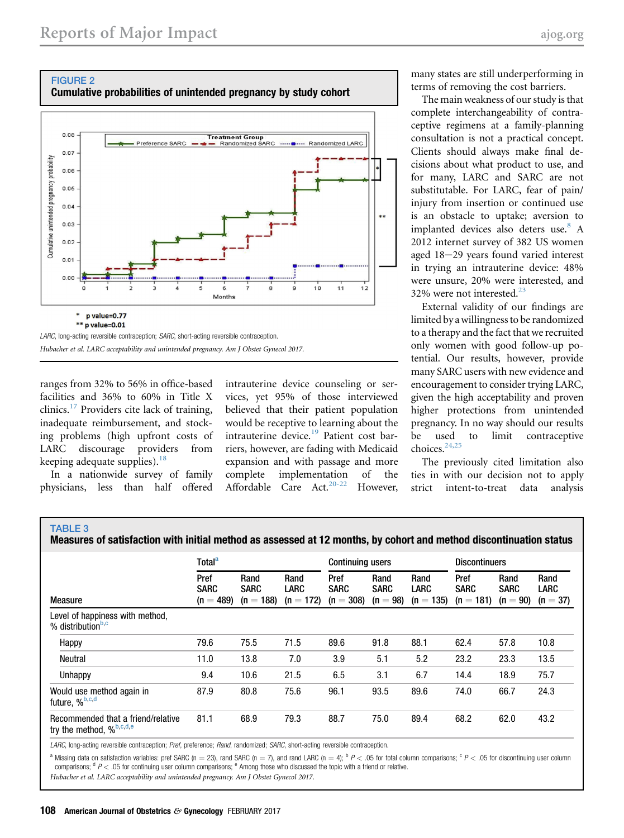<span id="page-7-0"></span>FIGURE 2





Hubacher et al. LARC acceptability and unintended pregnancy. Am J Obstet Gynecol 2017.

ranges from 32% to 56% in office-based facilities and 36% to 60% in Title X clinics.<sup>[17](#page-8-0)</sup> Providers cite lack of training, inadequate reimbursement, and stocking problems (high upfront costs of LARC discourage providers from keeping adequate supplies). $18$ 

In a nationwide survey of family physicians, less than half offered intrauterine device counseling or services, yet 95% of those interviewed believed that their patient population would be receptive to learning about the intrauterine device.<sup>19</sup> Patient cost barriers, however, are fading with Medicaid expansion and with passage and more complete implementation of the Affordable Care Act.<sup>[20-22](#page-8-0)</sup> However,

many states are still underperforming in terms of removing the cost barriers.

The main weakness of our study is that complete interchangeability of contraceptive regimens at a family-planning consultation is not a practical concept. Clients should always make final decisions about what product to use, and for many, LARC and SARC are not substitutable. For LARC, fear of pain/ injury from insertion or continued use is an obstacle to uptake; aversion to implanted devices also deters use.<sup>[8](#page-8-0)</sup> A 2012 internet survey of 382 US women aged  $18-29$  years found varied interest in trying an intrauterine device: 48% were unsure, 20% were interested, and 32% were not interested. $^{23}$  $^{23}$  $^{23}$ 

External validity of our findings are limited by a willingness to be randomized to a therapy and the fact that we recruited only women with good follow-up potential. Our results, however, provide many SARC users with new evidence and encouragement to consider trying LARC, given the high acceptability and proven higher protections from unintended pregnancy. In no way should our results be used to limit contraceptive choices.[24,25](#page-8-0)

The previously cited limitation also ties in with our decision not to apply strict intent-to-treat data analysis

#### TABLE 3

Measures of satisfaction with initial method as assessed at 12 months, by cohort and method discontinuation status

|                                                                            | Total <sup>a</sup>                 |                                    |                             | <b>Continuing users</b>            |                                   |                             | <b>Discontinuers</b>               |                                   |                            |
|----------------------------------------------------------------------------|------------------------------------|------------------------------------|-----------------------------|------------------------------------|-----------------------------------|-----------------------------|------------------------------------|-----------------------------------|----------------------------|
| Measure                                                                    | Pref<br><b>SARC</b><br>$(n = 489)$ | Rand<br><b>SARC</b><br>$(n = 188)$ | Rand<br>LARC<br>$(n = 172)$ | Pref<br><b>SARC</b><br>$(n = 308)$ | Rand<br><b>SARC</b><br>$(n = 98)$ | Rand<br>LARC<br>$(n = 135)$ | Pref<br><b>SARC</b><br>$(n = 181)$ | Rand<br><b>SARC</b><br>$(n = 90)$ | Rand<br>LARC<br>$(n = 37)$ |
| Level of happiness with method,<br>% distribution <sup>b,c</sup>           |                                    |                                    |                             |                                    |                                   |                             |                                    |                                   |                            |
| Happy                                                                      | 79.6                               | 75.5                               | 71.5                        | 89.6                               | 91.8                              | 88.1                        | 62.4                               | 57.8                              | 10.8                       |
| <b>Neutral</b>                                                             | 11.0                               | 13.8                               | 7.0                         | 3.9                                | 5.1                               | 5.2                         | 23.2                               | 23.3                              | 13.5                       |
| Unhappy                                                                    | 9.4                                | 10.6                               | 21.5                        | 6.5                                | 3.1                               | 6.7                         | 14.4                               | 18.9                              | 75.7                       |
| Would use method again in<br>future, % <sup>b,c,d</sup>                    | 87.9                               | 80.8                               | 75.6                        | 96.1                               | 93.5                              | 89.6                        | 74.0                               | 66.7                              | 24.3                       |
| Recommended that a friend/relative<br>try the method, % <sup>b,c,d,e</sup> | 81.1                               | 68.9                               | 79.3                        | 88.7                               | 75.0                              | 89.4                        | 68.2                               | 62.0                              | 43.2                       |

LARC, long-acting reversible contraception; Pref, preference; Rand, randomized; SARC, short-acting reversible contraception.

<sup>a</sup> Missing data on satisfaction variables: pref SARC (n = 23), rand SARC (n = 7), and rand LARC (n = 4);  $\frac{b}{r}$  / 0.05 for total column comparisons;  $\frac{c}{r}$  /  $\frac{1}{\sqrt{2}}$  .05 for discontinuing user column comparisons;  $d P < 0.05$  for continuing user column comparisons;  $e^e$  Among those who discussed the topic with a friend or relative.

Hubacher et al. LARC acceptability and unintended pregnancy. Am J Obstet Gynecol 2017.